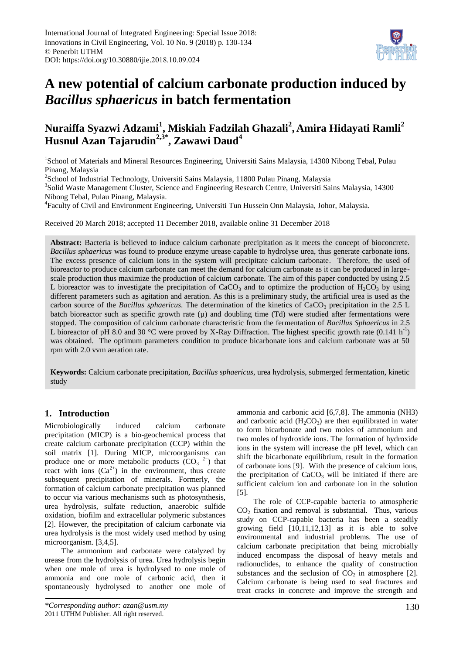

# **A new potential of calcium carbonate production induced by**  *Bacillus sphaericus* **in batch fermentation**

# **Nuraiffa Syazwi Adzami<sup>1</sup> , Miskiah Fadzilah Ghazali<sup>2</sup> , Amira Hidayati Ramli<sup>2</sup> Husnul Azan Tajarudin2,3\* , Zawawi Daud<sup>4</sup>**

<sup>1</sup>School of Materials and Mineral Resources Engineering, Universiti Sains Malaysia, 14300 Nibong Tebal, Pulau Pinang, Malaysia

<sup>2</sup>School of Industrial Technology, Universiti Sains Malaysia, 11800 Pulau Pinang, Malaysia

<sup>3</sup>Solid Waste Management Cluster, Science and Engineering Research Centre, Universiti Sains Malaysia, 14300 Nibong Tebal, Pulau Pinang, Malaysia.

4 Faculty of Civil and Environment Engineering, Universiti Tun Hussein Onn Malaysia, Johor, Malaysia.

Received 20 March 2018; accepted 11 December 2018, available online 31 December 2018

**Abstract:** Bacteria is believed to induce calcium carbonate precipitation as it meets the concept of bioconcrete. *Bacillus sphaericus* was found to produce enzyme urease capable to hydrolyse urea, thus generate carbonate ions. The excess presence of calcium ions in the system will precipitate calcium carbonate. Therefore, the used of bioreactor to produce calcium carbonate can meet the demand for calcium carbonate as it can be produced in largescale production thus maximize the production of calcium carbonate. The aim of this paper conducted by using 2.5 L bioreactor was to investigate the precipitation of  $CaCO<sub>3</sub>$  and to optimize the production of H<sub>2</sub>CO<sub>3</sub> by using different parameters such as agitation and aeration. As this is a preliminary study, the artificial urea is used as the carbon source of the *Bacillus sphaericus*. The determination of the kinetics of CaCO<sub>3</sub> precipitation in the 2.5 L batch bioreactor such as specific growth rate  $(\mu)$  and doubling time (Td) were studied after fermentations were stopped. The composition of calcium carbonate characteristic from the fermentation of *Bacillus Sphaericus* in 2.5 L bioreactor of pH 8.0 and 30 °C were proved by X-Ray Diffraction. The highest specific growth rate  $(0.141 \text{ h}^{-1})$ was obtained. The optimum parameters condition to produce bicarbonate ions and calcium carbonate was at 50 rpm with 2.0 vvm aeration rate.

**Keywords:** Calcium carbonate precipitation, *Bacillus sphaericus*, urea hydrolysis, submerged fermentation, kinetic study

# **1. Introduction**

Microbiologically induced calcium carbonate precipitation (MICP) is a bio-geochemical process that create calcium carbonate precipitation (CCP) within the soil matrix [1]. During MICP, microorganisms can produce one or more metabolic products  $(CO<sub>3</sub> <sup>2</sup>)$  that react with ions  $(Ca^{2+})$  in the environment, thus create subsequent precipitation of minerals. Formerly, the formation of calcium carbonate precipitation was planned to occur via various mechanisms such as photosynthesis, urea hydrolysis, sulfate reduction, anaerobic sulfide oxidation, biofilm and extracellular polymeric substances [2]. However, the precipitation of calcium carbonate via urea hydrolysis is the most widely used method by using microorganism. [3,4,5].

The ammonium and carbonate were catalyzed by urease from the hydrolysis of urea. Urea hydrolysis begin when one mole of urea is hydrolysed to one mole of ammonia and one mole of carbonic acid, then it spontaneously hydrolysed to another one mole of

ammonia and carbonic acid [6,7,8]. The ammonia (NH3) and carbonic acid  $(H_2CO_3)$  are then equilibrated in water to form bicarbonate and two moles of ammonium and two moles of hydroxide ions. The formation of hydroxide ions in the system will increase the pH level, which can shift the bicarbonate equilibrium, result in the formation of carbonate ions [9]. With the presence of calcium ions, the precipitation of  $CaCO<sub>3</sub>$  will be initiated if there are sufficient calcium ion and carbonate ion in the solution [5].

The role of CCP-capable bacteria to atmospheric  $CO<sub>2</sub>$  fixation and removal is substantial. Thus, various study on CCP-capable bacteria has been a steadily growing field [10,11,12,13] as it is able to solve environmental and industrial problems. The use of calcium carbonate precipitation that being microbially induced encompass the disposal of heavy metals and radionuclides, to enhance the quality of construction substances and the seclusion of  $CO<sub>2</sub>$  in atmosphere [2]. Calcium carbonate is being used to seal fractures and treat cracks in concrete and improve the strength and

*<sup>\*</sup>Corresponding author: azan@usm.my* 2011 UTHM Publisher. All right reserved.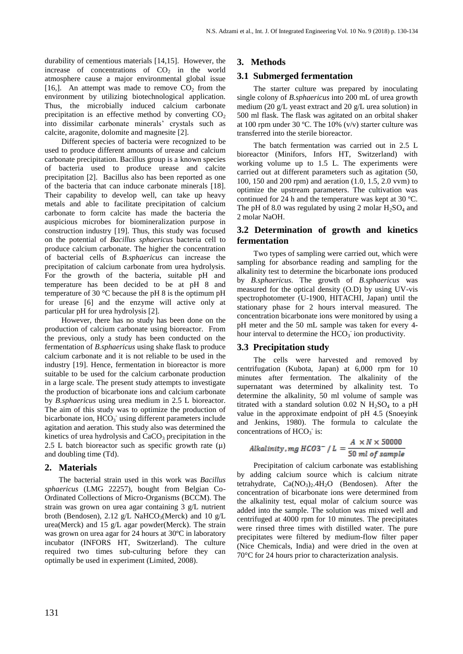durability of cementious materials [14,15]. However, the increase of concentrations of  $CO<sub>2</sub>$  in the world atmosphere cause a major environmental global issue [16,]. An attempt was made to remove  $CO<sub>2</sub>$  from the environment by utilizing biotechnological application. Thus, the microbially induced calcium carbonate precipitation is an effective method by converting  $CO<sub>2</sub>$ into dissimilar carbonate minerals' crystals such as calcite, aragonite, dolomite and magnesite [2].

Different species of bacteria were recognized to be used to produce different amounts of urease and calcium carbonate precipitation. Bacillus group is a known species of bacteria used to produce urease and calcite precipitation [2]. Bacillus also has been reported as one of the bacteria that can induce carbonate minerals [18]. Their capability to develop well, can take up heavy metals and able to facilitate precipitation of calcium carbonate to form calcite has made the bacteria the auspicious microbes for biomineralization purpose in construction industry [19]. Thus, this study was focused on the potential of *Bacillus sphaericus* bacteria cell to produce calcium carbonate. The higher the concentration of bacterial cells of *B.sphaericus* can increase the precipitation of calcium carbonate from urea hydrolysis. For the growth of the bacteria, suitable pH and temperature has been decided to be at pH 8 and temperature of 30 °C because the pH 8 is the optimum pH for urease [6] and the enzyme will active only at particular pH for urea hydrolysis [2].

However, there has no study has been done on the production of calcium carbonate using bioreactor. From the previous, only a study has been conducted on the fermentation of *B.sphaericus* using shake flask to produce calcium carbonate and it is not reliable to be used in the industry [19]. Hence, fermentation in bioreactor is more suitable to be used for the calcium carbonate production in a large scale. The present study attempts to investigate the production of bicarbonate ions and calcium carbonate by *B.sphaericus* using urea medium in 2.5 L bioreactor. The aim of this study was to optimize the production of bicarbonate ion,  $HCO<sub>3</sub>$  using different parameters include agitation and aeration. This study also was determined the kinetics of urea hydrolysis and  $CaCO<sub>3</sub>$  precipitation in the 2.5 L batch bioreactor such as specific growth rate  $(\mu)$ and doubling time (Td).

#### **2. Materials**

The bacterial strain used in this work was *Bacillus sphaericus* (LMG 22257), bought from Belgian Co-Ordinated Collections of Micro-Organisms (BCCM). The strain was grown on urea agar containing 3 g/L nutrient broth (Bendosen), 2.12 g/L NaHCO<sub>3</sub>(Merck) and 10 g/L urea(Merck) and 15 g/L agar powder(Merck). The strain was grown on urea agar for 24 hours at 30ºC in laboratory incubator (INFORS HT, Switzerland). The culture required two times sub-culturing before they can optimally be used in experiment (Limited, 2008).

### **3. Methods**

#### **3.1 Submerged fermentation**

The starter culture was prepared by inoculating single colony of *B.sphaericus* into 200 mL of urea growth medium (20 g/L yeast extract and 20 g/L urea solution) in 500 ml flask. The flask was agitated on an orbital shaker at 100 rpm under 30 °C. The 10%  $(v/v)$  starter culture was transferred into the sterile bioreactor.

The batch fermentation was carried out in 2.5 L bioreactor (Minifors, Infors HT, Switzerland) with working volume up to 1.5 L. The experiments were carried out at different parameters such as agitation (50, 100, 150 and 200 rpm) and aeration (1.0, 1.5, 2.0 vvm) to optimize the upstream parameters. The cultivation was continued for 24 h and the temperature was kept at 30 ºC. The pH of 8.0 was regulated by using 2 molar  $H_2SO_4$  and 2 molar NaOH.

# **3.2 Determination of growth and kinetics fermentation**

Two types of sampling were carried out, which were sampling for absorbance reading and sampling for the alkalinity test to determine the bicarbonate ions produced by *B.sphaericus*. The growth of *B.sphaericus* was measured for the optical density (O.D) by using UV-vis spectrophotometer (U-1900, HITACHI, Japan) until the stationary phase for 2 hours interval measured. The concentration bicarbonate ions were monitored by using a pH meter and the 50 mL sample was taken for every 4 hour interval to determine the  $HCO<sub>3</sub>$  ion productivity.

#### **3.3 Precipitation study**

The cells were harvested and removed by centrifugation (Kubota, Japan) at 6,000 rpm for 10 minutes after fermentation. The alkalinity of the supernatant was determined by alkalinity test. To determine the alkalinity, 50 ml volume of sample was titrated with a standard solution 0.02 N  $H<sub>2</sub>SO<sub>4</sub>$  to a pH value in the approximate endpoint of pH 4.5 (Snoeyink and Jenkins, 1980). The formula to calculate the concentrations of  $HCO<sub>3</sub>$  is:

$$
Alkality, mg \, HCO3^- / L = \frac{A \times N \times 50000}{50 \, ml \, of \, sample}
$$

Precipitation of calcium carbonate was establishing by adding calcium source which is calcium nitrate tetrahydrate,  $Ca(NO<sub>3</sub>)<sub>2</sub>$ .4H<sub>2</sub>O (Bendosen). After the concentration of bicarbonate ions were determined from the alkalinity test, equal molar of calcium source was added into the sample. The solution was mixed well and centrifuged at 4000 rpm for 10 minutes. The precipitates were rinsed three times with distilled water. The pure precipitates were filtered by medium-flow filter paper (Nice Chemicals, India) and were dried in the oven at 70°C for 24 hours prior to characterization analysis.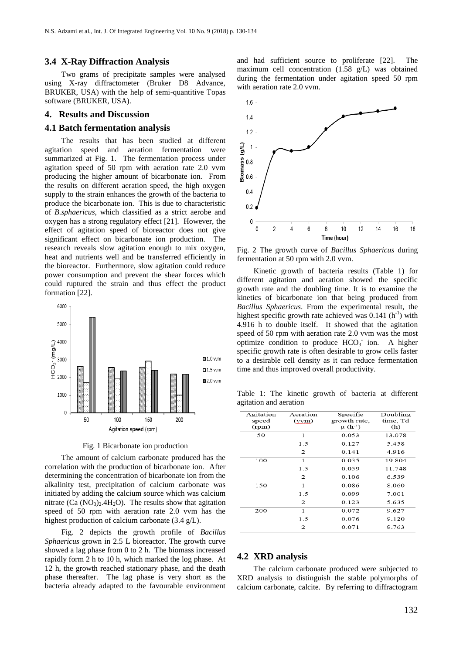#### **3.4 X-Ray Diffraction Analysis**

Two grams of precipitate samples were analysed using X-ray diffractometer (Bruker D8 Advance, BRUKER, USA) with the help of semi-quantitive Topas software (BRUKER, USA).

#### **4. Results and Discussion**

#### **4.1 Batch fermentation analysis**

The results that has been studied at different agitation speed and aeration fermentation were summarized at Fig. 1. The fermentation process under agitation speed of 50 rpm with aeration rate 2.0 vvm producing the higher amount of bicarbonate ion. From the results on different aeration speed, the high oxygen supply to the strain enhances the growth of the bacteria to produce the bicarbonate ion. This is due to characteristic of *B.sphaericus*, which classified as a strict aerobe and oxygen has a strong regulatory effect [21]. However, the effect of agitation speed of bioreactor does not give significant effect on bicarbonate ion production. The research reveals slow agitation enough to mix oxygen, heat and nutrients well and be transferred efficiently in the bioreactor. Furthermore, slow agitation could reduce power consumption and prevent the shear forces which could ruptured the strain and thus effect the product formation [22].



Fig. 1 Bicarbonate ion production

The amount of calcium carbonate produced has the correlation with the production of bicarbonate ion. After determining the concentration of bicarbonate ion from the alkalinity test, precipitation of calcium carbonate was initiated by adding the calcium source which was calcium nitrate  $(Ca (NO<sub>3</sub>)<sub>2</sub>·4H<sub>2</sub>O)$ . The results show that agitation speed of 50 rpm with aeration rate 2.0 vvm has the highest production of calcium carbonate (3.4 g/L).

Fig. 2 depicts the growth profile of *Bacillus Sphaericus* grown in 2.5 L bioreactor. The growth curve showed a lag phase from 0 to 2 h. The biomass increased rapidly form 2 h to 10 h, which marked the log phase. At 12 h, the growth reached stationary phase, and the death phase thereafter. The lag phase is very short as the bacteria already adapted to the favourable environment and had sufficient source to proliferate [22]. The maximum cell concentration (1.58 g/L) was obtained during the fermentation under agitation speed 50 rpm with aeration rate 2.0 vvm.



Fig. 2 The growth curve of *Bacillus Sphaericus* during fermentation at 50 rpm with 2.0 vvm.

Kinetic growth of bacteria results (Table 1) for different agitation and aeration showed the specific growth rate and the doubling time. It is to examine the kinetics of bicarbonate ion that being produced from *Bacillus Sphaericus*. From the experimental result, the highest specific growth rate achieved was  $0.141(h^{-1})$  with 4.916 h to double itself. It showed that the agitation speed of 50 rpm with aeration rate 2.0 vvm was the most optimize condition to produce  $HCO_3^-$  ion. A higher specific growth rate is often desirable to grow cells faster to a desirable cell density as it can reduce fermentation time and thus improved overall productivity.

Table 1: The kinetic growth of bacteria at different agitation and aeration

| Agitation | Aeration | Specific     | Doubling |
|-----------|----------|--------------|----------|
| speed     | (vvm)    | growth rate, | time, Td |
| (rpm)     |          | $\mu$ (h-1)  | (h)      |
| 50        | 1        | 0.053        | 13.078   |
|           | 1.5      | 0.127        | 5.458    |
|           | 2        | 0.141        | 4.916    |
| 100       | 1        | 0.035        | 19.804   |
|           | 1.5      | 0.059        | 11.748   |
|           | 2        | 0.106        | 6.539    |
| 150       | 1        | 0.086        | 8.060    |
|           | 1.5      | 0.099        | 7.001    |
|           | 2        | 0.123        | 5.635    |
| 200       | 1        | 0.072        | 9.627    |
|           | 1.5      | 0.076        | 9.120    |
|           | 2        | 0.071        | 9.763    |
|           |          |              |          |

#### **4.2 XRD analysis**

The calcium carbonate produced were subjected to XRD analysis to distinguish the stable polymorphs of calcium carbonate, calcite. By referring to diffractogram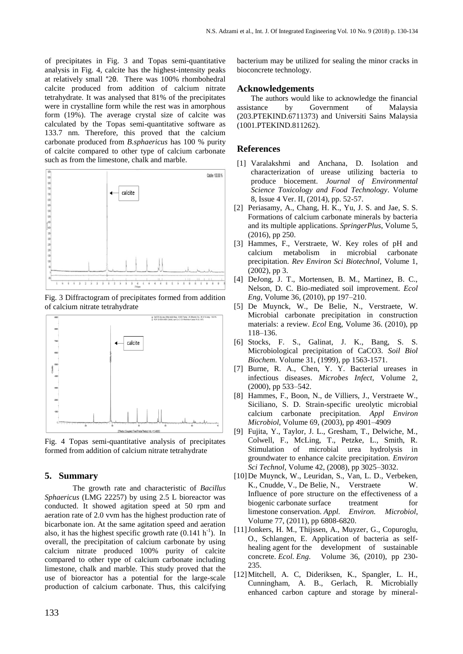of precipitates in Fig. 3 and Topas semi-quantitative analysis in Fig. 4, calcite has the highest-intensity peaks at relatively small °2θ. There was 100% rhombohedral calcite produced from addition of calcium nitrate tetrahydrate. It was analysed that 81% of the precipitates were in crystalline form while the rest was in amorphous form (19%). The average crystal size of calcite was calculated by the Topas semi-quantitative software as 133.7 nm. Therefore, this proved that the calcium carbonate produced from *B.sphaericus* has 100 % purity of calcite compared to other type of calcium carbonate such as from the limestone, chalk and marble.



Fig. 3 Diffractogram of precipitates formed from addition of calcium nitrate tetrahydrate



Fig. 4 Topas semi-quantitative analysis of precipitates formed from addition of calcium nitrate tetrahydrate

#### **5. Summary**

The growth rate and characteristic of *Bacillus Sphaericus* (LMG 22257) by using 2.5 L bioreactor was conducted. It showed agitation speed at 50 rpm and aeration rate of 2.0 vvm has the highest production rate of bicarbonate ion. At the same agitation speed and aeration also, it has the highest specific growth rate  $(0.141 \text{ h}^{-1})$ . In overall, the precipitation of calcium carbonate by using calcium nitrate produced 100% purity of calcite compared to other type of calcium carbonate including limestone, chalk and marble. This study proved that the use of bioreactor has a potential for the large-scale production of calcium carbonate. Thus, this calcifying

bacterium may be utilized for sealing the minor cracks in bioconcrete technology.

#### **Acknowledgements**

The authors would like to acknowledge the financial assistance by Government of Malaysia (203.PTEKIND.6711373) and Universiti Sains Malaysia (1001.PTEKIND.811262).

# **References**

- [1] Varalakshmi and Anchana, D. Isolation and characterization of urease utilizing bacteria to produce biocement. *Journal of Environmental Science Toxicology and Food Technology*. Volume 8, Issue 4 Ver. II, (2014), pp. 52-57.
- [2] Periasamy, A., Chang, H. K., Yu, J. S. and Jae, S. S. Formations of calcium carbonate minerals by bacteria and its multiple applications. *SpringerPlus*, Volume 5, (2016), pp 250.
- [3] Hammes, F., Verstraete, W. Key roles of pH and calcium metabolism in microbial carbonate precipitation. *Rev Environ Sci Biotechnol*, Volume 1, (2002), pp 3.
- [4] DeJong, J. T., Mortensen, B. M., Martinez, B. C., Nelson, D. C. Bio-mediated soil improvement. *Ecol Eng*, Volume 36, (2010), pp 197–210.
- [5] De Muynck, W., De Belie, N., Verstraete, W. Microbial carbonate precipitation in construction materials: a review. *Ecol* Eng, Volume 36. (2010), pp 118–136.
- [6] Stocks, F. S., Galinat, J. K., Bang, S. S. Microbiological precipitation of CaCO3. *Soil Biol Biochem*. Volume 31, (1999), pp 1563-1571.
- [7] Burne, R. A., Chen, Y. Y. Bacterial ureases in infectious diseases. *Microbes Infect*, Volume 2, (2000), pp 533–542.
- [8] Hammes, F., Boon, N., de Villiers, J., Verstraete W., Siciliano, S. D. Strain-specific ureolytic microbial calcium carbonate precipitation. *Appl Environ Microbiol*, Volume 69, (2003), pp 4901–4909
- [9] Fujita, Y., Taylor, J. L., Gresham, T., Delwiche, M., Colwell, F., McLing, T., Petzke, L., Smith, R. Stimulation of microbial urea hydrolysis in groundwater to enhance calcite precipitation. *Environ Sci Technol*, Volume 42, (2008), pp 3025–3032.
- [10]De Muynck, W., Leuridan, S., Van, L. D., Verbeken, K., Cnudde, V., De Belie, N., Verstraete W. Influence of pore structure on the effectiveness of a biogenic carbonate surface treatment for limestone conservation. *Appl. Environ. Microbiol*, Volume 77, (2011), pp 6808-6820.
- [11]Jonkers, H. M., Thijssen, A., Muyzer, G., Copuroglu, O., Schlangen, E. Application of bacteria as selfhealing agent for the development of sustainable concrete. *Ecol. Eng*. Volume 36, (2010), pp 230- 235.
- [12]Mitchell, A. C, Dideriksen, K., Spangler, L. H., Cunningham, A. B., Gerlach, R. Microbially enhanced carbon capture and storage by mineral-